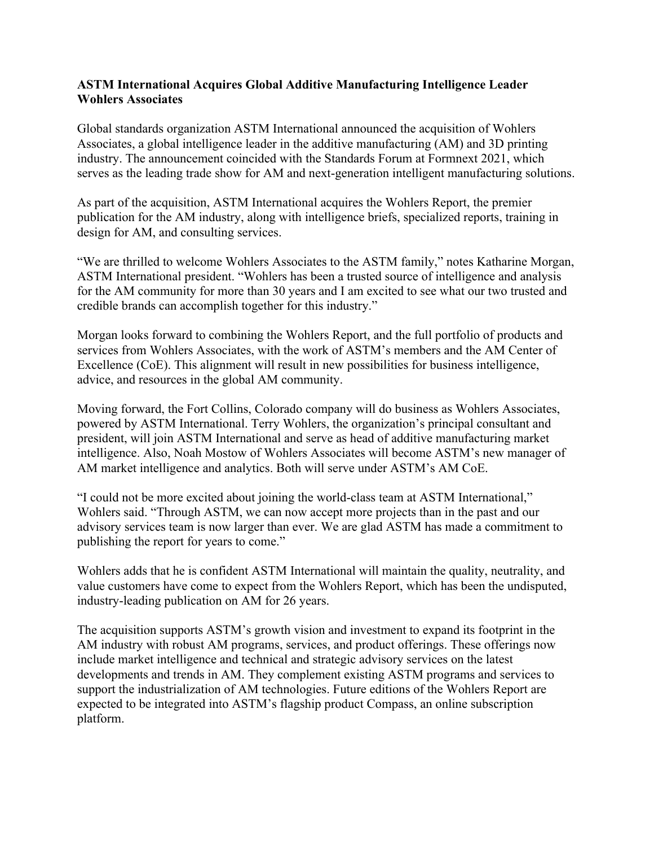## **ASTM International Acquires Global Additive Manufacturing Intelligence Leader Wohlers Associates**

Global standards organization ASTM International announced the acquisition of Wohlers Associates, a global intelligence leader in the additive manufacturing (AM) and 3D printing industry. The announcement coincided with the Standards Forum at Formnext 2021, which serves as the leading trade show for AM and next-generation intelligent manufacturing solutions.

As part of the acquisition, ASTM International acquires the Wohlers Report, the premier publication for the AM industry, along with intelligence briefs, specialized reports, training in design for AM, and consulting services.

"We are thrilled to welcome Wohlers Associates to the ASTM family," notes Katharine Morgan, ASTM International president. "Wohlers has been a trusted source of intelligence and analysis for the AM community for more than 30 years and I am excited to see what our two trusted and credible brands can accomplish together for this industry."

Morgan looks forward to combining the Wohlers Report, and the full portfolio of products and services from Wohlers Associates, with the work of ASTM's members and the AM Center of Excellence (CoE). This alignment will result in new possibilities for business intelligence, advice, and resources in the global AM community.

Moving forward, the Fort Collins, Colorado company will do business as Wohlers Associates, powered by ASTM International. Terry Wohlers, the organization's principal consultant and president, will join ASTM International and serve as head of additive manufacturing market intelligence. Also, Noah Mostow of Wohlers Associates will become ASTM's new manager of AM market intelligence and analytics. Both will serve under ASTM's AM CoE.

"I could not be more excited about joining the world-class team at ASTM International," Wohlers said. "Through ASTM, we can now accept more projects than in the past and our advisory services team is now larger than ever. We are glad ASTM has made a commitment to publishing the report for years to come."

Wohlers adds that he is confident ASTM International will maintain the quality, neutrality, and value customers have come to expect from the Wohlers Report, which has been the undisputed, industry-leading publication on AM for 26 years.

The acquisition supports ASTM's growth vision and investment to expand its footprint in the AM industry with robust AM programs, services, and product offerings. These offerings now include market intelligence and technical and strategic advisory services on the latest developments and trends in AM. They complement existing ASTM programs and services to support the industrialization of AM technologies. Future editions of the Wohlers Report are expected to be integrated into ASTM's flagship product Compass, an online subscription platform.